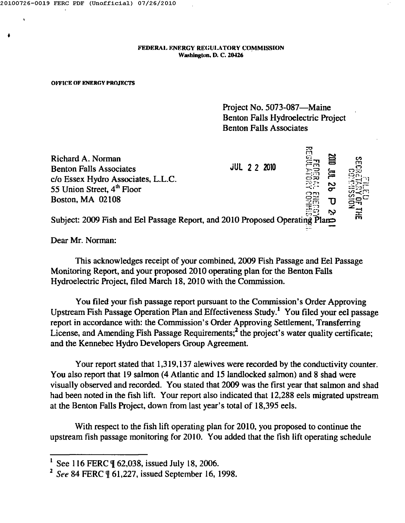•

FEDERAL ENERGY REGULATORY COMMISSION Washington, D. C. 20426

## OFFICE OF ENERGY PROJECTS

Project No. 5073-087-Maine Benton Falls Hydroelectric Project Benton Falls Associates

Richard A. Norman Benton Falls Associates JUL 2 2 2010 c/o Essex Hydro Associates, L.L.C. 55 Union Street,  $4<sup>th</sup>$  Floor Boston, MA 02108 *r....,* **\i'l**  $\Xi$  $\vec{z}$ g o ~::::.-,) fIrt..~

to" **".'1'** Subject: 2009 Fish and Eel Passage Report, and 2010 Proposed OperatiIl\$ Pla~

Dear Mr. Norman:

This acknowledges receipt of your combined, 2009 Fish Passage and Eel Passage Monitoring Report, and your proposed 2010 operating plan for the Benton Falls Hydroelectric Project, filed March 18,2010 with the Commission.

You filed your fish passage report pursuant to the Commission's Order Approving Upstream Fish Passage Operation Plan and Effectiveness Study.' You filed your eel passage report in accordance with: the Commission's Order Approving Settlement, Transferring License, and Amending Fish Passage Requirements;<sup>2</sup> the project's water quality certificate; and the Kennebec Hydro Developers Group Agreement.

Your report stated that 1,319,137 alewives were recorded by the conductivity counter. You also report that 19 salmon (4 Atlantic and 15 landlocked salmon) and 8 shad were visually observed and recorded. You stated that 2009 was the first year that salmon and shad had been noted in the fish lift. Your report also indicated that 12,288 eels migrated upstream at the Benton Falls Project, down from last year's total of 18,395 eels.

With respect to the fish lift operating plan for 2010, you proposed to continue the upstream fish passage monitoring for 2010. You added that the tish lift operating schedule

See 116 FERC | 62,038, issued July 18, 2006.

<sup>&</sup>lt;sup>2</sup> See 84 FERC \{\mathbf{01,227, issued September 16, 1998.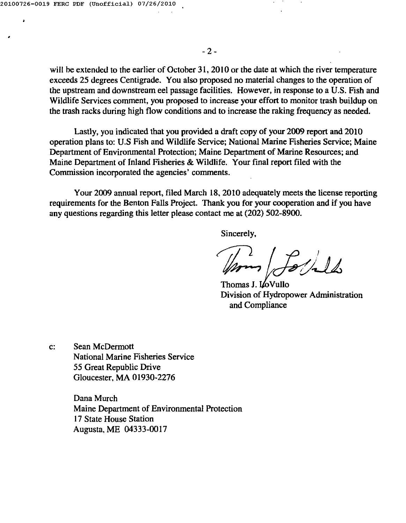•

will be extended to the earlier of October 31, 2010 or the date at which the river temperature exceeds 25 degrees Centigrade. You also proposed no material changes to the operation of the upstream and downstream eel passage facilities. However, in response to a U.S. Fish and Wildlife Services comment, you proposed to increase your effort to monitor trash buildup on the trash racks during high flow conditions and to increase the raking frequency as needed.

Lastly, you indicated that you provided a draft copy of your 2009 report and 2010 operation plans to: U.S Fish and Wildlife Service; National Marine Fisheries Service; Maine Department of Environmental Protection; Maine Department of Marine Resources; and Maine Department of Inland Fisheries & Wildlife. Your final report filed with the Commission incorporated the agencies' comments.

Your 2009 annual report, filed March 18,2010 adequately meets the license reporting requirements for the Benton Falls Project. Thank you for your cooperation and if you have any questions regarding this letter please contact me at (202) 502-8900.

Sincerely,

Thomas J. LoVullo Division of Hydropower Administration and Compliance

c: Sean McDermott National Marine Fisheries Service 55 Great Republic Drive Gloucester, MA 01930-2276

> Dana Murch Maine Department of Environmental Protection 17 State House Station Augusta, ME 04333-0017

 $-2-$